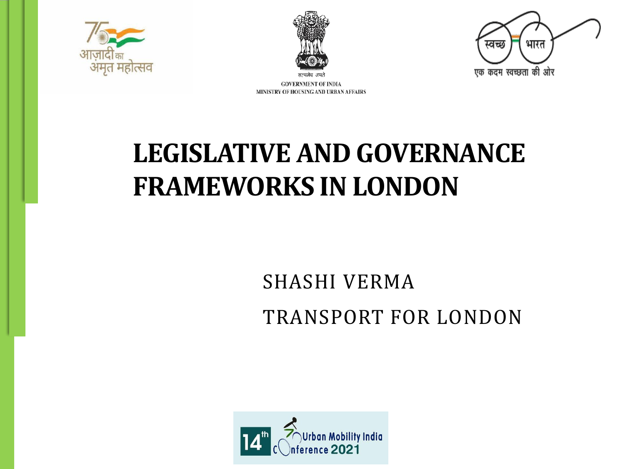





**GOVERNMENT OF INDIA** MINISTRY OF HOUSING AND URBAN AFFAIRS

#### **LEGISLATIVE AND GOVERNANCE FRAMEWORKS IN LONDON**

#### SHASHI VERMA TRANSPORT FOR LONDON

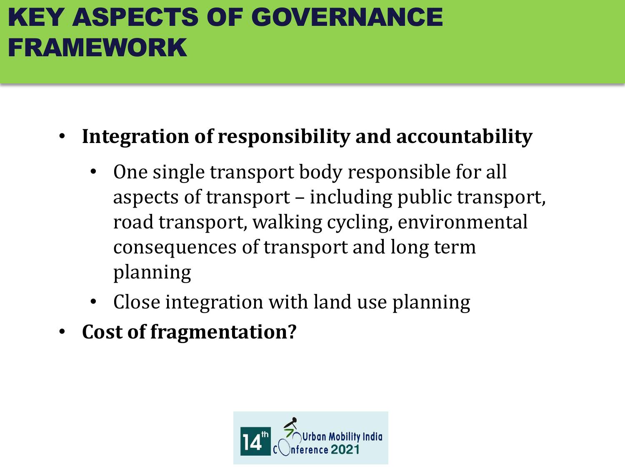#### KEY ASPECTS OF GOVERNANCE FRAMEWORK

- **Integration of responsibility and accountability**
	- One single transport body responsible for all aspects of transport – including public transport, road transport, walking cycling, environmental consequences of transport and long term planning
	- Close integration with land use planning
- **Cost of fragmentation?**

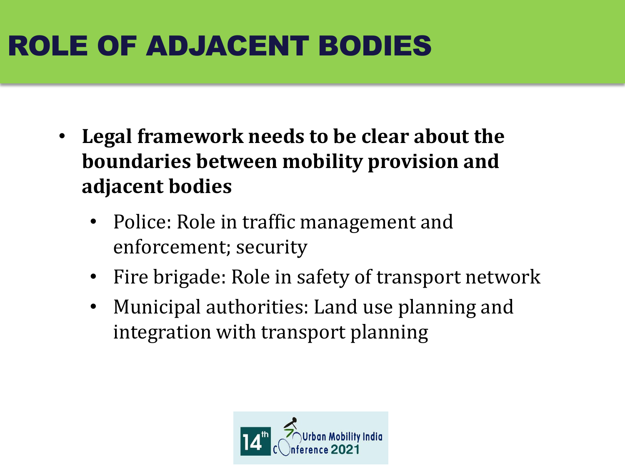# ROLE OF ADJACENT BODIES

- **Legal framework needs to be clear about the boundaries between mobility provision and adjacent bodies**
	- Police: Role in traffic management and enforcement; security
	- Fire brigade: Role in safety of transport network
	- Municipal authorities: Land use planning and integration with transport planning

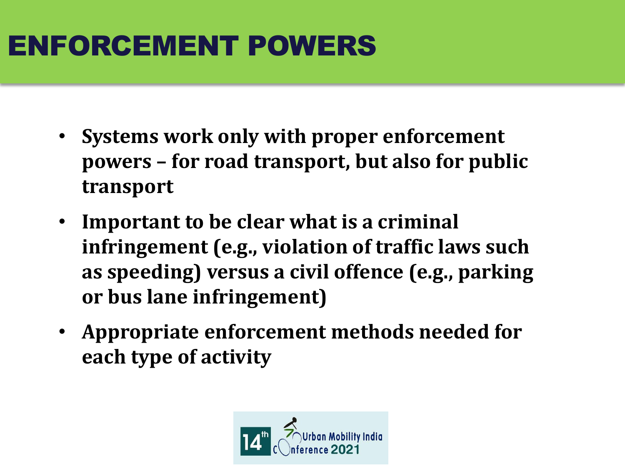## ENFORCEMENT POWERS

- **Systems work only with proper enforcement powers – for road transport, but also for public transport**
- **Important to be clear what is a criminal infringement (e.g., violation of traffic laws such as speeding) versus a civil offence (e.g., parking or bus lane infringement)**
- **Appropriate enforcement methods needed for each type of activity**

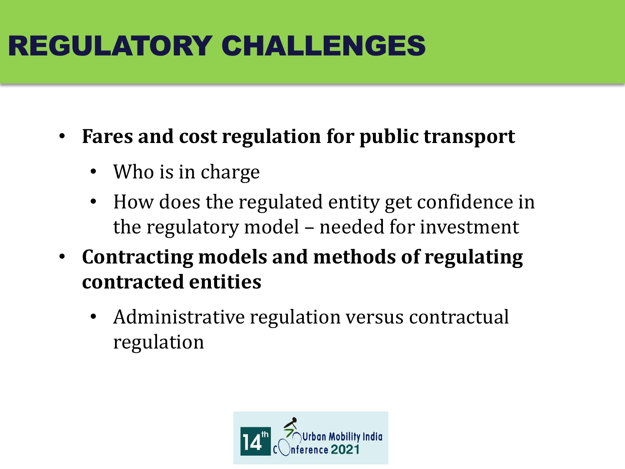# REGULATORY CHALLENGES

- **Fares and cost regulation for public transport**
	- Who is in charge
	- How does the regulated entity get confidence in the regulatory model – needed for investment
- **Contracting models and methods of regulating contracted entities**
	- Administrative regulation versus contractual regulation

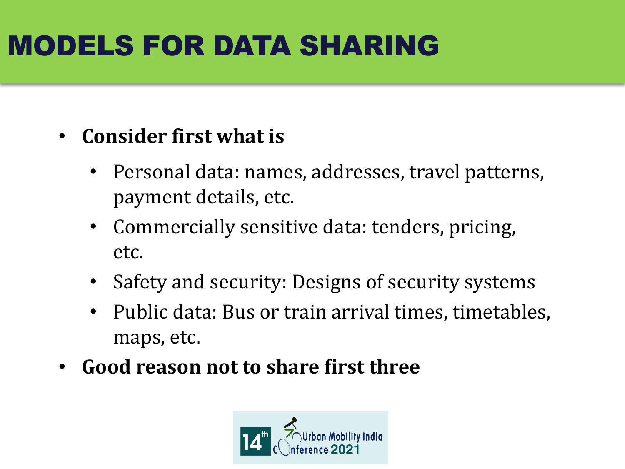# MODELS FOR DATA SHARING

- **Consider first what is** 
	- Personal data: names, addresses, travel patterns, payment details, etc.
	- Commercially sensitive data: tenders, pricing, etc.
	- Safety and security: Designs of security systems
	- Public data: Bus or train arrival times, timetables, maps, etc.
- **Good reason not to share first three**